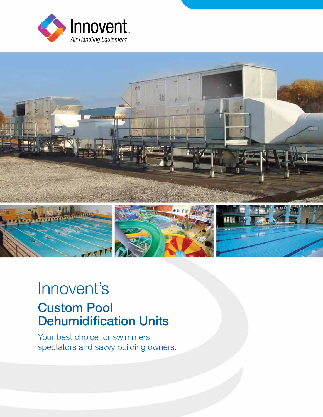



## Innovent's Custom Pool Dehumidification Units

Your best choice for swimmers, spectators and savvy building owners.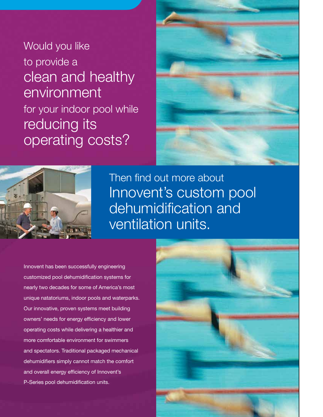Would you like to provide a clean and healthy environment for your indoor pool while reducing its operating costs?





Then find out more about Innovent's custom pool dehumidification and ventilation units.

Innovent has been successfully engineering customized pool dehumidification systems for nearly two decades for some of America's most unique natatoriums, indoor pools and waterparks. Our innovative, proven systems meet building owners' needs for energy efficiency and lower operating costs while delivering a healthier and more comfortable environment for swimmers and spectators. Traditional packaged mechanical dehumidifiers simply cannot match the comfort and overall energy efficiency of Innovent's P-Series pool dehumidification units.

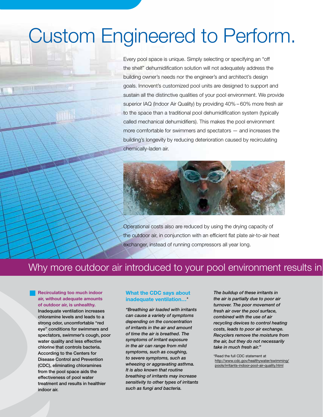## Custom Engineered to Perform.

Every pool space is unique. Simply selecting or specifying an "off the shelf" dehumidification solution will not adequately address the building owner's needs nor the engineer's and architect's design goals. Innovent's customized pool units are designed to support and sustain all the distinctive qualities of your pool environment. We provide superior IAQ (Indoor Air Quality) by providing 40% – 60% more fresh air to the space than a traditional pool dehumidification system (typically called mechanical dehumidifiers). This makes the pool environment more comfortable for swimmers and spectators — and increases the building's longevity by reducing deterioration caused by recirculating chemically-laden air.



Operational costs also are reduced by using the drying capacity of the outdoor air, in conjunction with an efficient flat plate air-to-air heat exchanger, instead of running compressors all year long.

### Why more outdoor air introduced to your pool environment results in

Recirculating too much indoor air, without adequate amounts of outdoor air, is unhealthy. Inadequate ventilation increases chloramine levels and leads to a strong odor, uncomfortable "red eye" conditions for swimmers and spectators, swimmer's cough, poor water quality and less effective chlorine that controls bacteria. According to the Centers for Disease Control and Prevention (CDC), eliminating chloramines from the pool space aids the effectiveness of pool water treatment and results in healthier indoor air.

#### What the CDC says about inadequate ventilation…\*

*"Breathing air loaded with irritants can cause a variety of symptoms depending on the concentration of irritants in the air and amount of time the air is breathed. The symptoms of irritant exposure in the air can range from mild symptoms, such as coughing, to severe symptoms, such as wheezing or aggravating asthma. It is also known that routine breathing of irritants may increase sensitivity to other types of irritants such as fungi and bacteria.* 

*The buildup of these irritants in the air is partially due to poor air turnover. The poor movement of fresh air over the pool surface, combined with the use of air recycling devices to control heating costs, leads to poor air exchange. Recyclers remove the moisture from the air, but they do not necessarily take in much fresh air."* 

\*Read the full CDC statement at http://www.cdc.gov/healthywater/swimming/ pools/irritants-indoor-pool-air-quality.html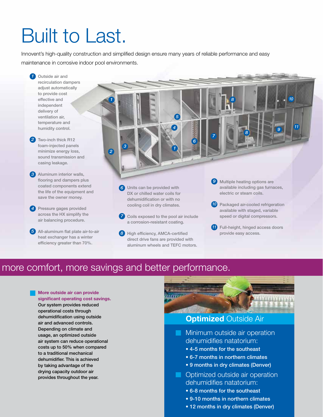# Built to Last.

Innovent's high-quality construction and simplified design ensure many years of reliable performance and easy maintenance in corrosive indoor pool environments.

- **1** Outside air and recirculation dampers adjust automatically to provide cost effective and independent delivery of ventilation air, temperature and humidity control. Two-inch thick R12 *2* foam-injected panels minimize energy loss, sound transmission and casing leakage. Aluminum interior walls, *3* flooring and dampers plus coated components extend the life of the equipment and save the owner money. 4 Pressure gages provided across the HX simplify the air balancing procedure. Units can be provided with DX or chilled water coils for dehumidification or with no cooling coil in dry climates. *6* All-aluminum flat plate air-to-air *5 1 1 2 3 4 5 6* Coils exposed to the pool air include a corrosion-resistant coating. *7 7*
	- 8 High efficiency, AMCA-certified direct drive fans are provided with aluminum wheels and TEFC motors.
- **9** Multiple heating options are available including gas furnaces, electric or steam coils.

*8*

*8*

*<sup>11</sup> 9*

am

*10*

- 10 Packaged air-cooled refrigeration available with staged, variable speed or digital compressors.
- **11** Full-height, hinged access doors provide easy access.

### more comfort, more savings and better performance.

#### More outside air can provide

heat exchanger has a winter efficiency greater than 70%.

significant operating cost savings. Our system provides reduced operational costs through dehumidification using outside air and advanced controls. Depending on climate and usage, an optimized outside air system can reduce operational costs up to 50% when compared to a traditional mechanical dehumidifier. This is achieved by taking advantage of the drying capacity outdoor air provides throughout the year.



- **Optimized outside air operation** dehumidifies natatorium:
	- 6-8 months for the southeast
	- 9-10 months in northern climates
	- 12 months in dry climates (Denver)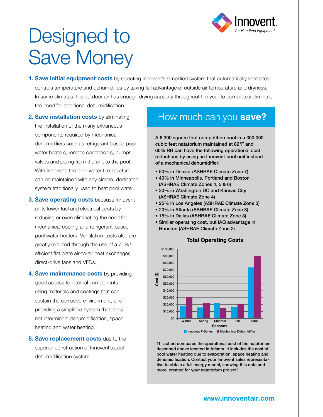

# Designed to Save Money

- **1. Save initial equipment costs** by selecting Innovent's simplified system that automatically ventilates, controls temperature and dehumidifies by taking full advantage of outside air temperature and dryness. In some climates, the outdoor air has enough drying capacity throughout the year to completely eliminate the need for additional dehumidification.
- **2. Save installation costs** by eliminating the installation of the many extraneous components required by mechanical dehumidifiers such as refrigerant-based pool water heaters, remote condensers, pumps, valves and piping from the unit to the pool. With Innovent, the pool water temperature can be maintained with any simple, dedicated system traditionally used to heat pool water.
- **3. Save operating costs because Innovent** units lower fuel and electrical costs by reducing or even eliminating the need for mechanical cooling and refrigerant-based pool water heaters. Ventilation costs also are greatly reduced through the use of a 70%+ efficient flat plate air-to-air heat exchanger, direct-drive fans and VFDs.
- 4. Save maintenance costs by providing good access to internal components, using materials and coatings that can sustain the corrosive environment, and providing a simplified system that does not intermingle dehumidification, space heating and water heating.
- **5. Save replacement costs** due to the superior construction of Innovent's pool dehumidification system

### How much can you save?

A 6,300 square foot competition pool in a 300,000 cubic feet natatorium maintained at 82°F and 60% RH can have the following operational cost reductions by using an Innovent pool unit instead of a mechanical dehumidifier:

- 50% in Denver (ASHRAE Climate Zone 7)
- 40% in Minneapolis, Portland and Boston (ASHRAE Climate Zones 4, 5 & 6)
- 30% in Washington DC and Kansas City (ASHRAE Climate Zone 4)
- 25% in Los Angeles (ASHRAE Climate Zone 3)
- 20% in Atlanta (ASHRAE Climate Zone 3)
- 15% in Dallas (ASHRAE Climate Zone 3)
- Similar operating cost, but IAQ advantage in Houston (ASHRAE Climate Zone 2)



This chart compares the operational cost of the natatorium described above located in Atlanta. It includes the cost of pool water heating due to evaporation, space heating and dehumidification. Contact your Innovent sales representative to obtain a full energy model, showing this data and more, created for your natatorium project!

#### **Total Operating Costs**

### www.innoventair.com